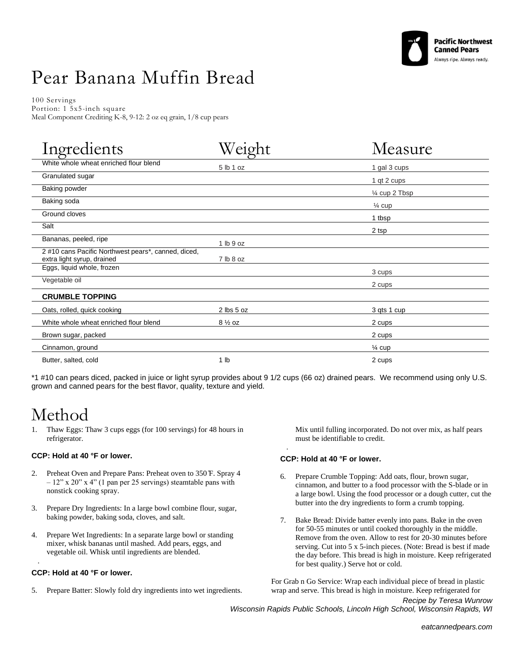

# Pear Banana Muffin Bread

100 Servings Portion: 1 5x5-inch square Meal Component Crediting K-8, 9-12: 2 oz eq grain, 1/8 cup pears

| Ingredients                                                                       | ht                | Measure           |
|-----------------------------------------------------------------------------------|-------------------|-------------------|
| White whole wheat enriched flour blend                                            | 5 lb 1 oz         | 1 gal 3 cups      |
| Granulated sugar                                                                  |                   | 1 qt 2 cups       |
| <b>Baking powder</b>                                                              |                   | 1/4 cup 2 Tbsp    |
| Baking soda                                                                       |                   | $\frac{1}{4}$ cup |
| Ground cloves                                                                     |                   | 1 tbsp            |
| Salt                                                                              |                   | 2 tsp             |
| Bananas, peeled, ripe                                                             | 1 lb 9 oz         |                   |
| 2 #10 cans Pacific Northwest pears*, canned, diced,<br>extra light syrup, drained | 7 lb 8 oz         |                   |
| Eggs, liquid whole, frozen                                                        |                   | 3 cups            |
| Vegetable oil                                                                     |                   | 2 cups            |
| <b>CRUMBLE TOPPING</b>                                                            |                   |                   |
| Oats, rolled, quick cooking                                                       | 2 lbs 5 oz        | 3 qts 1 cup       |
| White whole wheat enriched flour blend                                            | $8\frac{1}{2}$ oz | 2 cups            |
| Brown sugar, packed                                                               |                   | 2 cups            |
| Cinnamon, ground                                                                  |                   | $\frac{1}{4}$ cup |
| Butter, salted, cold                                                              | 1 <sub>lb</sub>   | 2 cups            |

\*1 #10 can pears diced, packed in juice or light syrup provides about 9 1/2 cups (66 oz) drained pears. We recommend using only U.S. grown and canned pears for the best flavor, quality, texture and yield.

·

### Method

1. Thaw Eggs: Thaw 3 cups eggs (for 100 servings) for 48 hours in refrigerator.

#### **CCP: Hold at 40 °F or lower.**

- 2. Preheat Oven and Prepare Pans: Preheat oven to 350 ̊F. Spray 4  $-12$ " x 20" x 4" (1 pan per 25 servings) steamtable pans with nonstick cooking spray.
- 3. Prepare Dry Ingredients: In a large bowl combine flour, sugar, baking powder, baking soda, cloves, and salt.
- 4. Prepare Wet Ingredients: In a separate large bowl or standing mixer, whisk bananas until mashed. Add pears, eggs, and vegetable oil. Whisk until ingredients are blended.

#### **CCP: Hold at 40 °F or lower.**

·

5. Prepare Batter: Slowly fold dry ingredients into wet ingredients.

Mix until fulling incorporated. Do not over mix, as half pears must be identifiable to credit.

#### **CCP: Hold at 40 °F or lower.**

- 6. Prepare Crumble Topping: Add oats, flour, brown sugar, cinnamon, and butter to a food processor with the S-blade or in a large bowl. Using the food processor or a dough cutter, cut the butter into the dry ingredients to form a crumb topping.
- 7. Bake Bread: Divide batter evenly into pans. Bake in the oven for 50-55 minutes or until cooked thoroughly in the middle. Remove from the oven. Allow to rest for 20-30 minutes before serving. Cut into 5 x 5-inch pieces. (Note: Bread is best if made the day before. This bread is high in moisture. Keep refrigerated for best quality.) Serve hot or cold.

For Grab n Go Service: Wrap each individual piece of bread in plastic wrap and serve. This bread is high in moisture. Keep refrigerated for

*Recipe by Teresa Wunrow Wisconsin Rapids Public Schools, Lincoln High School, Wisconsin Rapids, WI*